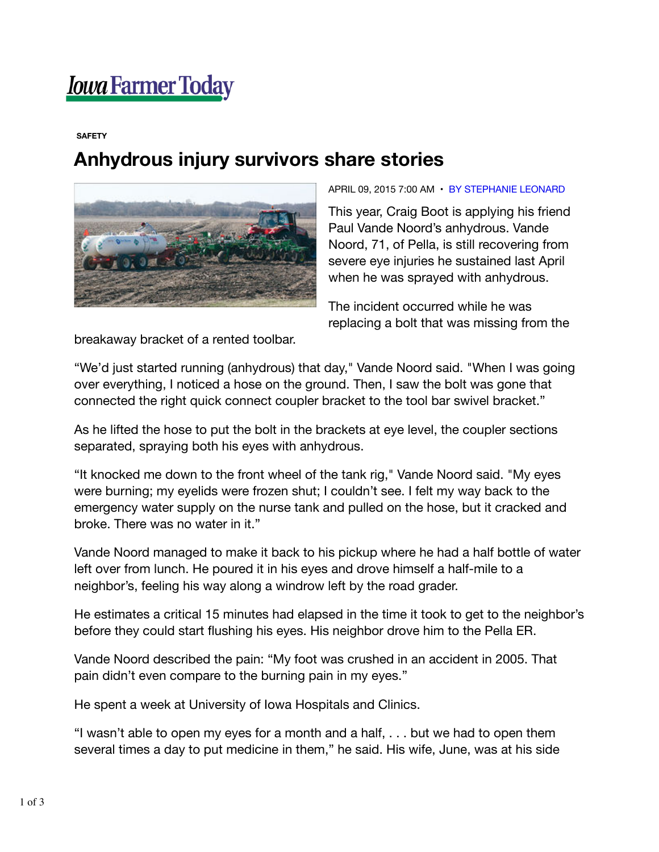## *<u>Iowa Farmer Today</u>*

## **SAFETY**

## **Anhydrous injury survivors share stories**



## APRIL 09, 2015 7:00 AM • BY STEPHANIE LEONARD

This year, Craig Boot is applying his friend Paul Vande Noord's anhydrous. Vande Noord, 71, of Pella, is still recovering from severe eye injuries he sustained last April when he was sprayed with anhydrous.

The incident occurred while he was replacing a bolt that was missing from the

breakaway bracket of a rented toolbar.

"We'd just started running (anhydrous) that day," Vande Noord said. "When I was going over everything, I noticed a hose on the ground. Then, I saw the bolt was gone that connected the right quick connect coupler bracket to the tool bar swivel bracket."

As he lifted the hose to put the bolt in the brackets at eye level, the coupler sections separated, spraying both his eyes with anhydrous.

"It knocked me down to the front wheel of the tank rig," Vande Noord said. "My eyes were burning; my eyelids were frozen shut; I couldn't see. I felt my way back to the emergency water supply on the nurse tank and pulled on the hose, but it cracked and broke. There was no water in it."

Vande Noord managed to make it back to his pickup where he had a half bottle of water left over from lunch. He poured it in his eyes and drove himself a half-mile to a neighbor's, feeling his way along a windrow left by the road grader.

He estimates a critical 15 minutes had elapsed in the time it took to get to the neighbor's before they could start flushing his eyes. His neighbor drove him to the Pella ER.

Vande Noord described the pain: "My foot was crushed in an accident in 2005. That pain didn't even compare to the burning pain in my eyes."

He spent a week at University of Iowa Hospitals and Clinics.

"I wasn't able to open my eyes for a month and a half, . . . but we had to open them several times a day to put medicine in them," he said. His wife, June, was at his side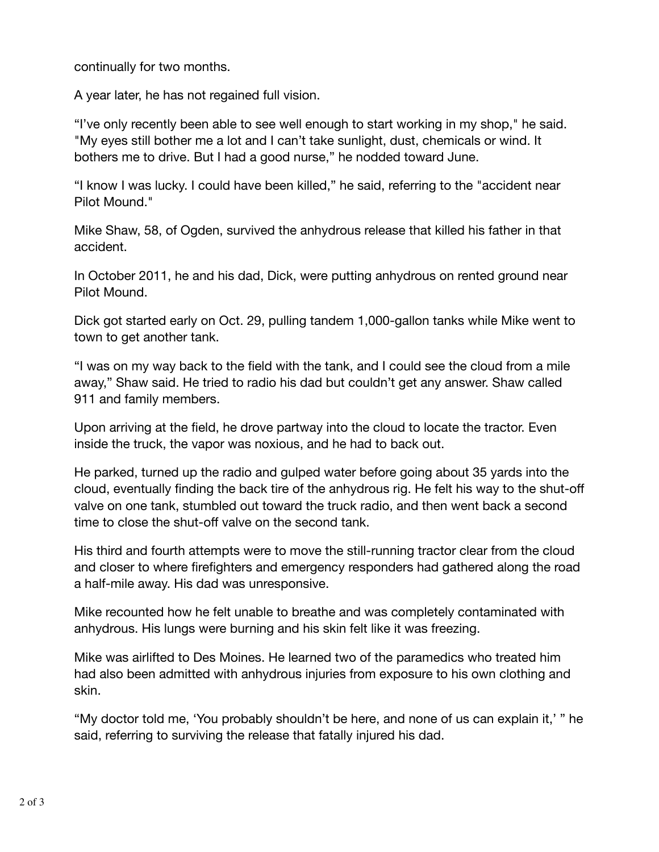continually for two months.

A year later, he has not regained full vision.

"I've only recently been able to see well enough to start working in my shop," he said. "My eyes still bother me a lot and I can't take sunlight, dust, chemicals or wind. It bothers me to drive. But I had a good nurse," he nodded toward June.

"I know I was lucky. I could have been killed," he said, referring to the "accident near Pilot Mound."

Mike Shaw, 58, of Ogden, survived the anhydrous release that killed his father in that accident.

In October 2011, he and his dad, Dick, were putting anhydrous on rented ground near Pilot Mound.

Dick got started early on Oct. 29, pulling tandem 1,000-gallon tanks while Mike went to town to get another tank.

"I was on my way back to the field with the tank, and I could see the cloud from a mile away," Shaw said. He tried to radio his dad but couldn't get any answer. Shaw called 911 and family members.

Upon arriving at the field, he drove partway into the cloud to locate the tractor. Even inside the truck, the vapor was noxious, and he had to back out.

He parked, turned up the radio and gulped water before going about 35 yards into the cloud, eventually finding the back tire of the anhydrous rig. He felt his way to the shut-off valve on one tank, stumbled out toward the truck radio, and then went back a second time to close the shut-off valve on the second tank.

His third and fourth attempts were to move the still-running tractor clear from the cloud and closer to where firefighters and emergency responders had gathered along the road a half-mile away. His dad was unresponsive.

Mike recounted how he felt unable to breathe and was completely contaminated with anhydrous. His lungs were burning and his skin felt like it was freezing.

Mike was airlifted to Des Moines. He learned two of the paramedics who treated him had also been admitted with anhydrous injuries from exposure to his own clothing and skin.

"My doctor told me, 'You probably shouldn't be here, and none of us can explain it,' " he said, referring to surviving the release that fatally injured his dad.